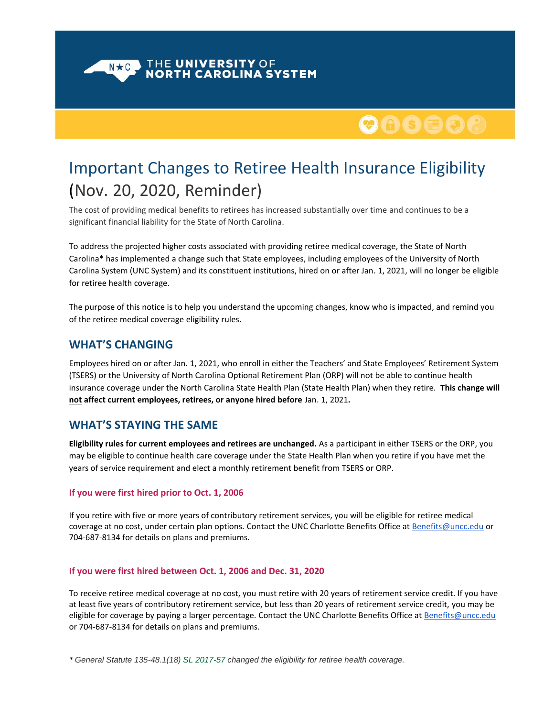N<sub>\*C</sub> THE UNIVERSITY OF NORTH CAROLINA SYSTEM

# 000000

## Important Changes to Retiree Health Insurance Eligibility (Nov. 20, 2020, Reminder)

The cost of providing medical benefits to retirees has increased substantially over time and continues to be a significant financial liability for the State of North Carolina.

To address the projected higher costs associated with providing retiree medical coverage, the State of North Carolina\* has implemented a change such that State employees, including employees of the University of North Carolina System (UNC System) and its constituent institutions, hired on or after Jan. 1, 2021, will no longer be eligible for retiree health coverage.

The purpose of this notice is to help you understand the upcoming changes, know who is impacted, and remind you of the retiree medical coverage eligibility rules.

## **WHAT'S CHANGING**

Employees hired on or after Jan. 1, 2021, who enroll in either the Teachers' and State Employees' Retirement System (TSERS) or the University of North Carolina Optional Retirement Plan (ORP) will not be able to continue health insurance coverage under the North Carolina State Health Plan (State Health Plan) when they retire. **This change will not affect current employees, retirees, or anyone hired before** Jan. 1, 2021**.**

## **WHAT'S STAYING THE SAME**

**Eligibility rules for current employees and retirees are unchanged.** As a participant in either TSERS or the ORP, you may be eligible to continue health care coverage under the State Health Plan when you retire if you have met the years of service requirement and elect a monthly retirement benefit from TSERS or ORP.

#### **If you were first hired prior to Oct. 1, 2006**

If you retire with five or more years of contributory retirement services, you will be eligible for retiree medical coverage at no cost, under certain plan options. Contact the UNC Charlotte Benefits Office a[t Benefits@uncc.edu](mailto:Benefits@uncc.edu) or 704-687-8134 for details on plans and premiums.

#### **If you were first hired between Oct. 1, 2006 and Dec. 31, 2020**

To receive retiree medical coverage at no cost, you must retire with 20 years of retirement service credit. If you have at least five years of contributory retirement service, but less than 20 years of retirement service credit, you may be eligible for coverage by paying a larger percentage. Contact the UNC Charlotte Benefits Office at **Benefits@uncc.edu** or 704-687-8134 for details on plans and premiums.

*\* General Statute 135-48.1(18) [SL 2017-57](https://www.ncleg.gov/Sessions/2017/Bills/Senate/PDF/S257v9.pdf) changed the eligibility for retiree health coverage.*